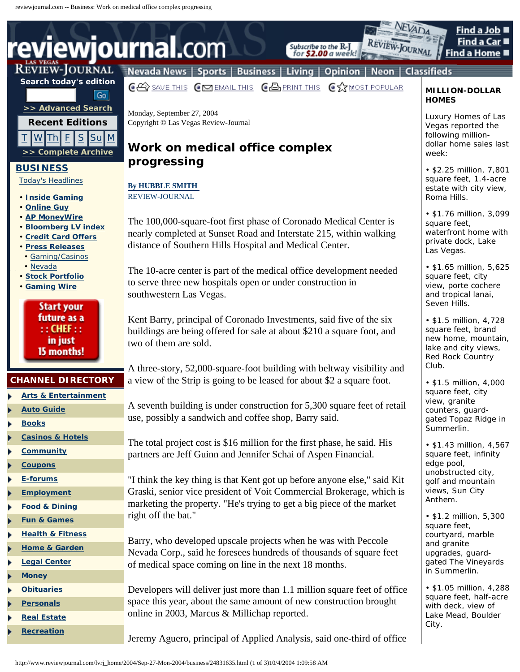# **reviewjournal.**com

## **Search today's edition**  $\overline{\mathsf{Go}}$



## **[BUSINESS](http://www.reviewjournal.com/cgi-bin/currentbus.cgi)**

. .

. . .

. .

- [Today's Headlines](http://www.reviewjournal.com/cgi-bin/current.cgi)
- **[Inside Gaming](http://www.reviewjournal.com/columnists/gaming.html)**
- **[Online Guy](http://www.reviewjournal.com/columnists/gibes.html)**
- **[AP MoneyWire](http://customwire.ap.org/dynamic/fronts/FINANCE/?SITE=NVLAS&SECTION=HOME)**
- **[Bloomberg LV index](http://quote.bloomberg.com/apps/data?pid=ri_movers&Ticker=BLVX)**
- **[Credit Card Offers](http://www.cardoffers.com/partners/links/cpa/all.asp?parid=4197533)**
- **[Press Releases](http://www.prnewswire.com/medmicro/lvrj/)**
- [Gaming/Casinos](http://www.prnewswire.com/cgi-bin/ind_display.pl?Account=CNO&Template=LVRJCNO.menu) • [Nevada](http://www.prnewswire.com/cgi-bin/st_display.pl?Account=NV&Template=LVRJNV.menu)
- **[Stock Portfolio](http://customwire.ap.org/dynamic/fronts/FINANCE/?SITE=NVLAS&SECTION=HOME)**
- **[Gaming Wire](http://www.stephensmedia.com/gamingwire/)**

**Start your** future as a  $\cdot$ : CHEF  $\cdot$ : in just 15 months!

## **CHANNEL DIRECTORY**

- **[Arts & Entertainment](http://www.reviewjournal.com/entertainment/)**
- **[Auto Guide](http://www.reviewjournal.com/auto/)**
- **[Books](http://www.reviewjournal.com/books/)**
- **[Casinos & Hotels](http://www.reviewjournal.com/hotels/)**
- **[Community](http://www.reviewjournal.com/community/)**
- **[Coupons](http://www.reviewjournal.com/coupons/)**
- **[E-forums](http://www.reviewjournal.com/community/eforums/)**
- **[Employment](http://www.reviewjournal.com/employment/)**
- **[Food & Dining](http://www.reviewjournal.com/dining/)**
- **[Fun & Games](http://www.reviewjournal.com/fun/)**
- **[Health & Fitness](http://www.reviewjournal.com/health/)**
- **[Home & Garden](http://www.reviewjournal.com/home/)**
- **[Legal Center](http://reviewjournal.lawinfo.com/)**
- **[Money](http://www.reviewjournal.com/money/)**
- **[Obituaries](http://www.reviewjournal.com/obituaries/)**
- **[Personals](http://www.reviewjournal.com/personals/)**
- **[Real Estate](http://www.reviewjournal.com/realestate/)**
- **[Recreation](http://www.reviewjournal.com/recreation/)**

# REVIEW-JOURNAL Nevada News | Sports | Business | Living | Opinion | Neon | Classifieds

Subscribe to the R-J

for \$2.00 a week!

**CES SAVE THIS CES EMAIL THIS CES PRINT THIS CLY MOST POPULAR** 

Monday, September 27, 2004 Copyright © Las Vegas Review-Journal

## **Work on medical office complex progressing**

## **[By HUBBLE SMITH](http://www.reviewjournal.com/about/print/rjstaff.html#Business)**  [REVIEW-JOURNAL](http://www.reviewjournal.com/about/print/rjstaff.html#Business)

The 100,000-square-foot first phase of Coronado Medical Center is nearly completed at Sunset Road and Interstate 215, within walking distance of Southern Hills Hospital and Medical Center.

The 10-acre center is part of the medical office development needed to serve three new hospitals open or under construction in southwestern Las Vegas.

Kent Barry, principal of Coronado Investments, said five of the six buildings are being offered for sale at about \$210 a square foot, and two of them are sold.

A three-story, 52,000-square-foot building with beltway visibility and a view of the Strip is going to be leased for about \$2 a square foot.

A seventh building is under construction for 5,300 square feet of retail use, possibly a sandwich and coffee shop, Barry said.

The total project cost is \$16 million for the first phase, he said. His partners are Jeff Guinn and Jennifer Schai of Aspen Financial.

"I think the key thing is that Kent got up before anyone else," said Kit Graski, senior vice president of Voit Commercial Brokerage, which is marketing the property. "He's trying to get a big piece of the market right off the bat."

Barry, who developed upscale projects when he was with Peccole Nevada Corp., said he foresees hundreds of thousands of square feet of medical space coming on line in the next 18 months.

Developers will deliver just more than 1.1 million square feet of office space this year, about the same amount of new construction brought online in 2003, Marcus & Millichap reported.

Jeremy Aguero, principal of Applied Analysis, said one-third of office

#### **MILLION-DOLLAR HOMES**

Find a Job

Find a Home

Find a Car I

**EVADA** 

VIEW-JOURNAL

Luxury Homes of Las Vegas reported the following milliondollar home sales last week:

• \$2.25 million, 7,801 square feet, 1.4-acre estate with city view, Roma Hills.

• \$1.76 million, 3,099 square feet, waterfront home with private dock, Lake Las Vegas.

• \$1.65 million, 5,625 square feet, city view, porte cochere and tropical lanai, Seven Hills.

• \$1.5 million, 4,728 square feet, brand new home, mountain, lake and city views, Red Rock Country Club.

• \$1.5 million, 4,000 square feet, city view, granite counters, guardgated Topaz Ridge in Summerlin.

• \$1.43 million, 4,567 square feet, infinity edge pool, unobstructed city, golf and mountain views, Sun City Anthem.

• \$1.2 million, 5,300 square feet, courtyard, marble and granite upgrades, guardgated The Vineyards in Summerlin.

• \$1.05 million, 4,288 square feet, half-acre with deck, view of Lake Mead, Boulder City.